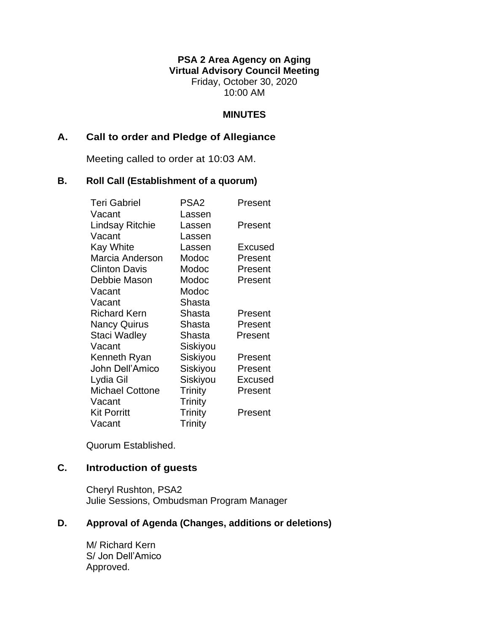# **PSA 2 Area Agency on Aging Virtual Advisory Council Meeting** Friday, October 30, 2020 10:00 AM

### **MINUTES**

## **A. Call to order and Pledge of Allegiance**

Meeting called to order at 10:03 AM.

#### **B. Roll Call (Establishment of a quorum)**

| <b>Teri Gabriel</b>    | PSA <sub>2</sub> | Present        |
|------------------------|------------------|----------------|
| Vacant                 | Lassen           |                |
| Lindsay Ritchie        | Lassen           | Present        |
| Vacant                 | Lassen           |                |
| <b>Kay White</b>       | Lassen           | Excused        |
| Marcia Anderson        | Modoc            | Present        |
| <b>Clinton Davis</b>   | Modoc            | Present        |
| Debbie Mason           | Modoc            | Present        |
| Vacant                 | Modoc            |                |
| Vacant                 | Shasta           |                |
| <b>Richard Kern</b>    | Shasta           | Present        |
| <b>Nancy Quirus</b>    | Shasta           | Present        |
| <b>Staci Wadley</b>    | Shasta           | Present        |
| Vacant                 | Siskiyou         |                |
| Kenneth Ryan           | Siskiyou         | Present        |
| John Dell'Amico        | Siskiyou         | Present        |
| Lydia Gil              | Siskiyou         | <b>Excused</b> |
| <b>Michael Cottone</b> | <b>Trinity</b>   | Present        |
| Vacant                 | <b>Trinity</b>   |                |
| <b>Kit Porritt</b>     | Trinity          | Present        |
| Vacant                 | <b>Trinity</b>   |                |

Quorum Established.

# **C. Introduction of guests**

Cheryl Rushton, PSA2 Julie Sessions, Ombudsman Program Manager

### **D. Approval of Agenda (Changes, additions or deletions)**

M/ Richard Kern S/ Jon Dell'Amico Approved.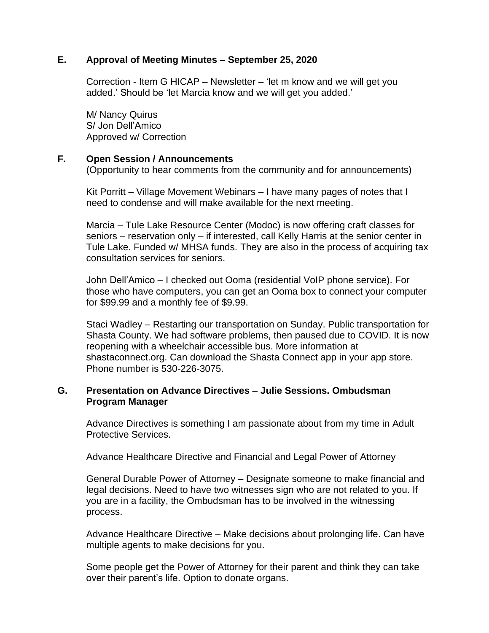## **E. Approval of Meeting Minutes – September 25, 2020**

Correction - Item G HICAP – Newsletter – 'let m know and we will get you added.' Should be 'let Marcia know and we will get you added.'

M/ Nancy Quirus S/ Jon Dell'Amico Approved w/ Correction

#### **F. Open Session / Announcements**

(Opportunity to hear comments from the community and for announcements)

Kit Porritt – Village Movement Webinars – I have many pages of notes that I need to condense and will make available for the next meeting.

Marcia – Tule Lake Resource Center (Modoc) is now offering craft classes for seniors – reservation only – if interested, call Kelly Harris at the senior center in Tule Lake. Funded w/ MHSA funds. They are also in the process of acquiring tax consultation services for seniors.

John Dell'Amico – I checked out Ooma (residential VoIP phone service). For those who have computers, you can get an Ooma box to connect your computer for \$99.99 and a monthly fee of \$9.99.

Staci Wadley – Restarting our transportation on Sunday. Public transportation for Shasta County. We had software problems, then paused due to COVID. It is now reopening with a wheelchair accessible bus. More information at shastaconnect.org. Can download the Shasta Connect app in your app store. Phone number is 530-226-3075.

#### **G. Presentation on Advance Directives – Julie Sessions. Ombudsman Program Manager**

Advance Directives is something I am passionate about from my time in Adult Protective Services.

Advance Healthcare Directive and Financial and Legal Power of Attorney

General Durable Power of Attorney – Designate someone to make financial and legal decisions. Need to have two witnesses sign who are not related to you. If you are in a facility, the Ombudsman has to be involved in the witnessing process.

Advance Healthcare Directive – Make decisions about prolonging life. Can have multiple agents to make decisions for you.

Some people get the Power of Attorney for their parent and think they can take over their parent's life. Option to donate organs.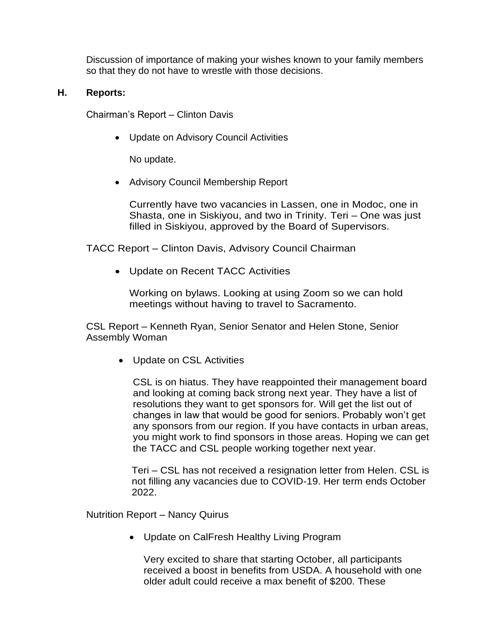Discussion of importance of making your wishes known to your family members so that they do not have to wrestle with those decisions.

# **H. Reports:**

Chairman's Report – Clinton Davis

• Update on Advisory Council Activities

No update.

• Advisory Council Membership Report

Currently have two vacancies in Lassen, one in Modoc, one in Shasta, one in Siskiyou, and two in Trinity. Teri – One was just filled in Siskiyou, approved by the Board of Supervisors.

TACC Report – Clinton Davis, Advisory Council Chairman

• Update on Recent TACC Activities

Working on bylaws. Looking at using Zoom so we can hold meetings without having to travel to Sacramento.

CSL Report – Kenneth Ryan, Senior Senator and Helen Stone, Senior Assembly Woman

• Update on CSL Activities

CSL is on hiatus. They have reappointed their management board and looking at coming back strong next year. They have a list of resolutions they want to get sponsors for. Will get the list out of changes in law that would be good for seniors. Probably won't get any sponsors from our region. If you have contacts in urban areas, you might work to find sponsors in those areas. Hoping we can get the TACC and CSL people working together next year.

Teri – CSL has not received a resignation letter from Helen. CSL is not filling any vacancies due to COVID-19. Her term ends October 2022.

Nutrition Report – Nancy Quirus

• Update on CalFresh Healthy Living Program

Very excited to share that starting October, all participants received a boost in benefits from USDA. A household with one older adult could receive a max benefit of \$200. These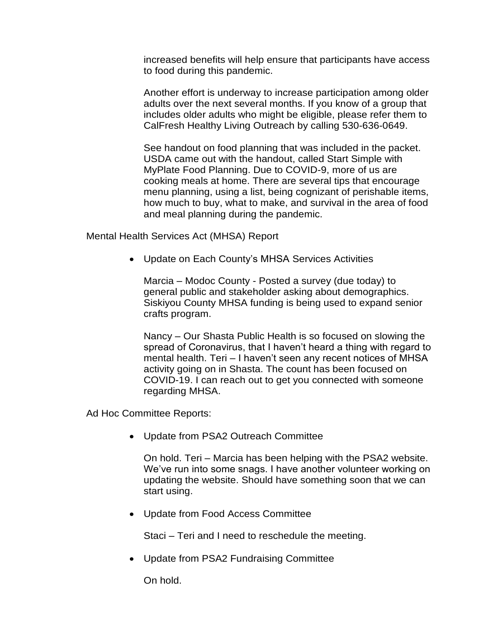increased benefits will help ensure that participants have access to food during this pandemic.

Another effort is underway to increase participation among older adults over the next several months. If you know of a group that includes older adults who might be eligible, please refer them to CalFresh Healthy Living Outreach by calling 530-636-0649.

See handout on food planning that was included in the packet. USDA came out with the handout, called Start Simple with MyPlate Food Planning. Due to COVID-9, more of us are cooking meals at home. There are several tips that encourage menu planning, using a list, being cognizant of perishable items, how much to buy, what to make, and survival in the area of food and meal planning during the pandemic.

Mental Health Services Act (MHSA) Report

• Update on Each County's MHSA Services Activities

Marcia – Modoc County - Posted a survey (due today) to general public and stakeholder asking about demographics. Siskiyou County MHSA funding is being used to expand senior crafts program.

Nancy – Our Shasta Public Health is so focused on slowing the spread of Coronavirus, that I haven't heard a thing with regard to mental health. Teri – I haven't seen any recent notices of MHSA activity going on in Shasta. The count has been focused on COVID-19. I can reach out to get you connected with someone regarding MHSA.

Ad Hoc Committee Reports:

• Update from PSA2 Outreach Committee

On hold. Teri – Marcia has been helping with the PSA2 website. We've run into some snags. I have another volunteer working on updating the website. Should have something soon that we can start using.

• Update from Food Access Committee

Staci – Teri and I need to reschedule the meeting.

• Update from PSA2 Fundraising Committee

On hold.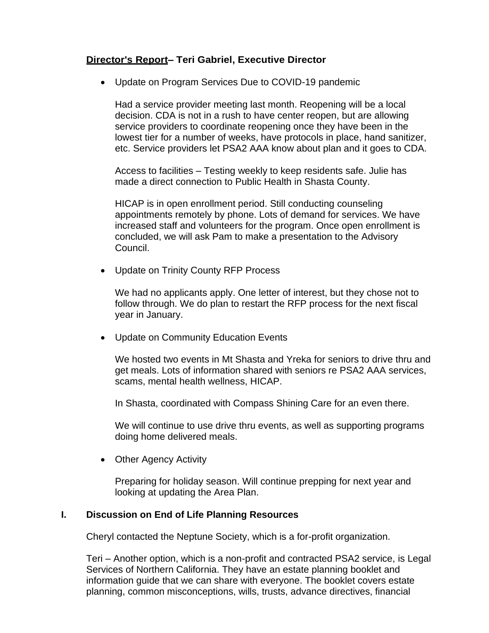# **Director's Report– Teri Gabriel, Executive Director**

• Update on Program Services Due to COVID-19 pandemic

Had a service provider meeting last month. Reopening will be a local decision. CDA is not in a rush to have center reopen, but are allowing service providers to coordinate reopening once they have been in the lowest tier for a number of weeks, have protocols in place, hand sanitizer, etc. Service providers let PSA2 AAA know about plan and it goes to CDA.

Access to facilities – Testing weekly to keep residents safe. Julie has made a direct connection to Public Health in Shasta County.

HICAP is in open enrollment period. Still conducting counseling appointments remotely by phone. Lots of demand for services. We have increased staff and volunteers for the program. Once open enrollment is concluded, we will ask Pam to make a presentation to the Advisory Council.

• Update on Trinity County RFP Process

We had no applicants apply. One letter of interest, but they chose not to follow through. We do plan to restart the RFP process for the next fiscal year in January.

• Update on Community Education Events

We hosted two events in Mt Shasta and Yreka for seniors to drive thru and get meals. Lots of information shared with seniors re PSA2 AAA services, scams, mental health wellness, HICAP.

In Shasta, coordinated with Compass Shining Care for an even there.

We will continue to use drive thru events, as well as supporting programs doing home delivered meals.

• Other Agency Activity

Preparing for holiday season. Will continue prepping for next year and looking at updating the Area Plan.

# **I. Discussion on End of Life Planning Resources**

Cheryl contacted the Neptune Society, which is a for-profit organization.

Teri – Another option, which is a non-profit and contracted PSA2 service, is Legal Services of Northern California. They have an estate planning booklet and information guide that we can share with everyone. The booklet covers estate planning, common misconceptions, wills, trusts, advance directives, financial